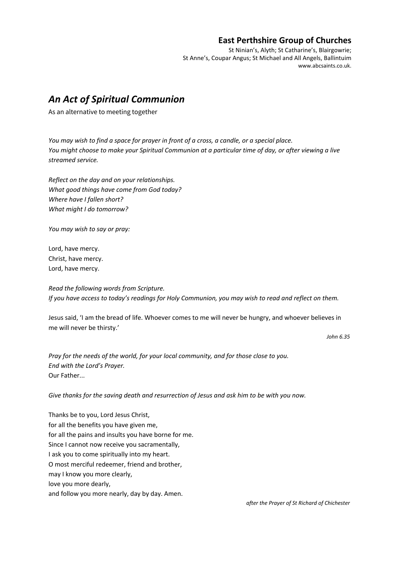## **East Perthshire Group of Churches**

St Ninian's, Alyth; St Catharine's, Blairgowrie; St Anne's, Coupar Angus; St Michael and All Angels, Ballintuim www.abcsaints.co.uk.

## *An Act of Spiritual Communion*

As an alternative to meeting together

*You may wish to find a space for prayer in front of a cross, a candle, or a special place. You might choose to make your Spiritual Communion at a particular time of day, or after viewing a live streamed service.* 

*Reflect on the day and on your relationships. What good things have come from God today? Where have I fallen short? What might I do tomorrow?* 

*You may wish to say or pray:*

Lord, have mercy. Christ, have mercy. Lord, have mercy.

*Read the following words from Scripture. If you have access to today's readings for Holy Communion, you may wish to read and reflect on them.* 

Jesus said, 'I am the bread of life. Whoever comes to me will never be hungry, and whoever believes in me will never be thirsty.'

*John 6.35* 

*Pray for the needs of the world, for your local community, and for those close to you. End with the Lord's Prayer.*  Our Father...

*Give thanks for the saving death and resurrection of Jesus and ask him to be with you now.* 

Thanks be to you, Lord Jesus Christ, for all the benefits you have given me, for all the pains and insults you have borne for me. Since I cannot now receive you sacramentally, I ask you to come spiritually into my heart. O most merciful redeemer, friend and brother, may I know you more clearly, love you more dearly, and follow you more nearly, day by day. Amen.

*after the Prayer of St Richard of Chichester*